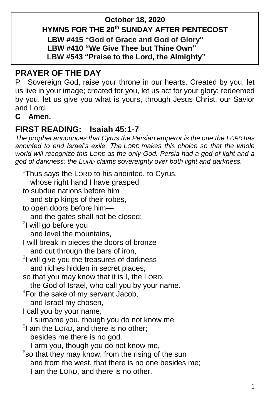### **October 18, 2020 HYMNS FOR THE 20th SUNDAY AFTER PENTECOST LBW #415 "God of Grace and God of Glory" LBW #410 "We Give Thee but Thine Own" LBW #543 "Praise to the Lord, the Almighty"**

# **PRAYER OF THE DAY**

P Sovereign God, raise your throne in our hearts. Created by you, let us live in your image; created for you, let us act for your glory; redeemed by you, let us give you what is yours, through Jesus Christ, our Savior and Lord.

### **C Amen.**

# **FIRST READING: Isaiah 45:1-7**

*The prophet announces that Cyrus the Persian emperor is the one the LORD has anointed to end Israel's exile. The LORD makes this choice so that the whole world will recognize this LORD as the only God. Persia had a god of light and a god of darkness; the LORD claims sovereignty over both light and darkness.*

<sup>1</sup>Thus says the LORD to his anointed, to Cyrus, whose right hand I have grasped to subdue nations before him and strip kings of their robes, to open doors before him and the gates shall not be closed: <sup>2</sup>l will go before you and level the mountains, I will break in pieces the doors of bronze and cut through the bars of iron, <sup>3</sup>I will give you the treasures of darkness and riches hidden in secret places, so that you may know that it is I, the LORD, the God of Israel, who call you by your name.  $4$ For the sake of my servant Jacob, and Israel my chosen, I call you by your name, I surname you, though you do not know me. <sup>5</sup>I am the LORD, and there is no other; besides me there is no god. I arm you, though you do not know me,  $6$ so that they may know, from the rising of the sun and from the west, that there is no one besides me; I am the LORD, and there is no other.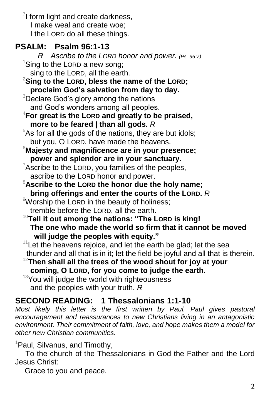$7$ I form light and create darkness, I make weal and create woe; I the LORD do all these things.

# **PSALM: Psalm 96:1-13**

 *R Ascribe to the LORD honor and power. (Ps. 96:7)* <sup>1</sup>Sing to the LORD a new song;

- sing to the LORD, all the earth.
- <sup>2</sup>**Sing to the LORD, bless the name of the LORD; proclaim God's salvation from day to day.**
- <sup>3</sup>Declare God's glory among the nations and God's wonders among all peoples.
- <sup>4</sup>**For great is the LORD and greatly to be praised, more to be feared | than all gods.** *R*
- $5$ As for all the gods of the nations, they are but idols; but you, O LORD, have made the heavens.
- <sup>6</sup>**Majesty and magnificence are in your presence; power and splendor are in your sanctuary.**
- $7$ Ascribe to the LORD, you families of the peoples, ascribe to the LORD honor and power.
- <sup>8</sup>**Ascribe to the LORD the honor due the holy name; bring offerings and enter the courts of the LORD.** *R*
- <sup>9</sup>Worship the LORD in the beauty of holiness: tremble before the LORD, all the earth.
- <sup>10</sup>**Tell it out among the nations: "The LORD is king! The one who made the world so firm that it cannot be moved will judge the peoples with equity."**
- $11$  Let the heavens rejoice, and let the earth be glad; let the sea thunder and all that is in it; let the field be joyful and all that is therein.
- <sup>12</sup>**Then shall all the trees of the wood shout for joy at your coming, O LORD, for you come to judge the earth.**
- <sup>13</sup>You will judge the world with righteousness and the peoples with your truth. *R*

# **SECOND READING: 1 Thessalonians 1:1-10**

Most likely this letter is the first written by Paul. Paul gives pastoral *encouragement and reassurances to new Christians living in an antagonistic environment. Their commitment of faith, love, and hope makes them a model for other new Christian communities.*

## <sup>1</sup>Paul, Silvanus, and Timothy,

To the church of the Thessalonians in God the Father and the Lord Jesus Christ:

Grace to you and peace.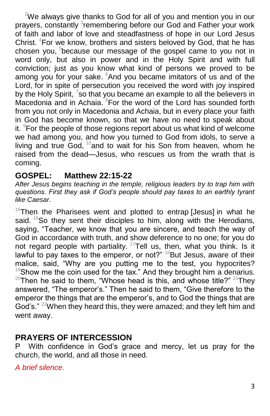$2$ We always give thanks to God for all of you and mention you in our prayers, constantly <sup>3</sup>remembering before our God and Father your work of faith and labor of love and steadfastness of hope in our Lord Jesus Christ. <sup>4</sup>For we know, brothers and sisters beloved by God, that he has chosen you, <sup>5</sup>because our message of the gospel came to you not in word only, but also in power and in the Holy Spirit and with full conviction; just as you know what kind of persons we proved to be among you for your sake. <sup>6</sup>And you became imitators of us and of the Lord, for in spite of persecution you received the word with joy inspired by the Holy Spirit,  $\frac{7}{5}$  that you became an example to all the believers in Macedonia and in Achaia.  ${}^{8}$ For the word of the Lord has sounded forth from you not only in Macedonia and Achaia, but in every place your faith in God has become known, so that we have no need to speak about it.  $9$ For the people of those regions report about us what kind of welcome we had among you, and how you turned to God from idols, to serve a living and true God,  $10$  and to wait for his Son from heaven, whom he raised from the dead—Jesus, who rescues us from the wrath that is coming.

## **GOSPEL: Matthew 22:15-22**

*After Jesus begins teaching in the temple, religious leaders try to trap him with questions. First they ask if God's people should pay taxes to an earthly tyrant like Caesar.*

 $15$ Then the Pharisees went and plotted to entrap [Jesus] in what he said.  $16$ So they sent their disciples to him, along with the Herodians, saying, "Teacher, we know that you are sincere, and teach the way of God in accordance with truth, and show deference to no one; for you do not regard people with partiality.  $17$ Tell us, then, what you think. Is it lawful to pay taxes to the emperor, or not?"  $18$ But Jesus, aware of their malice, said, "Why are you putting me to the test, you hypocrites? Show me the coin used for the tax." And they brought him a denarius.  $^{20}$ Then he said to them, "Whose head is this, and whose title?"  $^{21}$ They answered, "The emperor's." Then he said to them, "Give therefore to the emperor the things that are the emperor's, and to God the things that are God's." <sup>22</sup>When they heard this, they were amazed; and they left him and went away.

# **PRAYERS OF INTERCESSION**

P With confidence in God's grace and mercy, let us pray for the church, the world, and all those in need.

*A brief silence.*